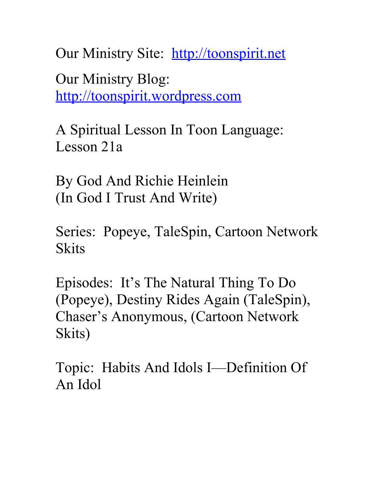Our Ministry Site: [http://toonspirit.net](http://toonspirit.net/) Our Ministry Blog: [http://toonspirit.wordpress.com](http://toonspirit.wordpress.com/)

A Spiritual Lesson In Toon Language: Lesson 21a

By God And Richie Heinlein (In God I Trust And Write)

Series: Popeye, TaleSpin, Cartoon Network **Skits** 

Episodes: It's The Natural Thing To Do (Popeye), Destiny Rides Again (TaleSpin), Chaser's Anonymous, (Cartoon Network Skits)

Topic: Habits And Idols I—Definition Of An Idol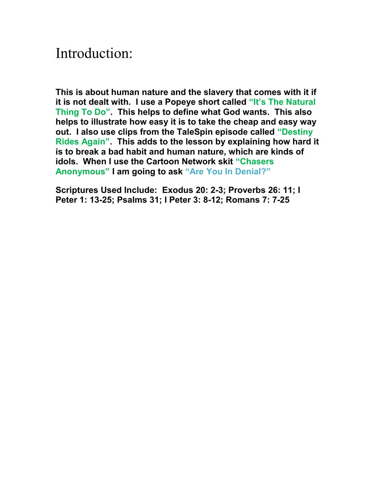## Introduction:

**This is about human nature and the slavery that comes with it if it is not dealt with. I use a Popeye short called "It's The Natural Thing To Do". This helps to define what God wants. This also helps to illustrate how easy it is to take the cheap and easy way out. I also use clips from the TaleSpin episode called "Destiny Rides Again". This adds to the lesson by explaining how hard it is to break a bad habit and human nature, which are kinds of idols. When I use the Cartoon Network skit "Chasers Anonymous" I am going to ask "Are You In Denial?"**

**Scriptures Used Include: Exodus 20: 2-3; Proverbs 26: 11; I Peter 1: 13-25; Psalms 31; I Peter 3: 8-12; Romans 7: 7-25**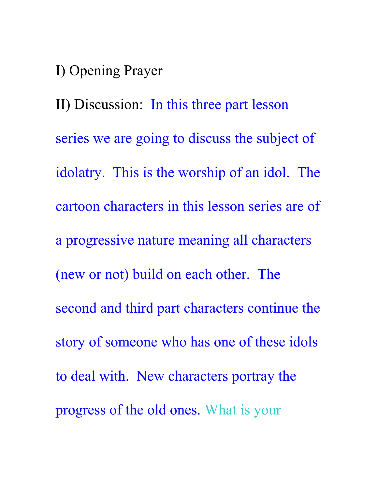I) Opening Prayer

II) Discussion: In this three part lesson series we are going to discuss the subject of idolatry. This is the worship of an idol. The cartoon characters in this lesson series are of a progressive nature meaning all characters (new or not) build on each other. The second and third part characters continue the story of someone who has one of these idols to deal with. New characters portray the progress of the old ones. What is your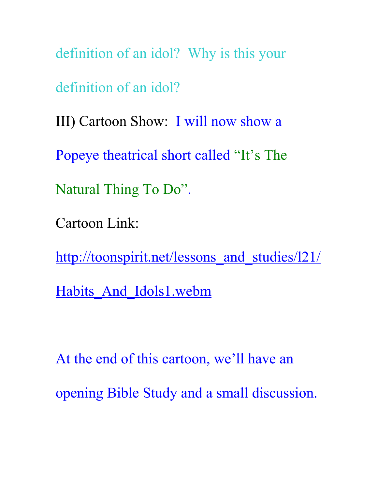definition of an idol? Why is this your definition of an idol? III) Cartoon Show: I will now show a Popeye theatrical short called "It's The Natural Thing To Do". Cartoon Link: http://toonspirit.net/lessons and studies/l21/ Habits And Idols1.webm

At the end of this cartoon, we'll have an opening Bible Study and a small discussion.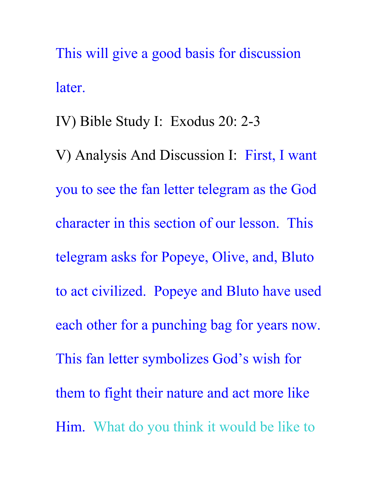This will give a good basis for discussion later.

IV) Bible Study I: Exodus 20: 2-3 V) Analysis And Discussion I: First, I want you to see the fan letter telegram as the God character in this section of our lesson. This telegram asks for Popeye, Olive, and, Bluto to act civilized. Popeye and Bluto have used each other for a punching bag for years now. This fan letter symbolizes God's wish for them to fight their nature and act more like Him. What do you think it would be like to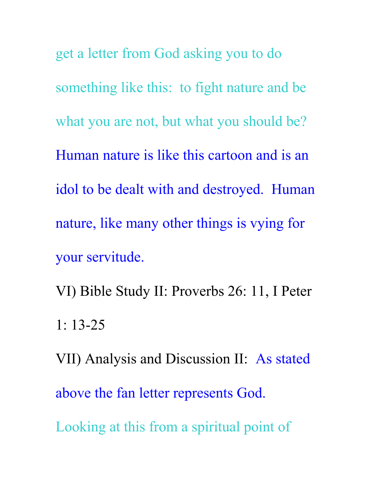get a letter from God asking you to do something like this: to fight nature and be what you are not, but what you should be? Human nature is like this cartoon and is an idol to be dealt with and destroyed. Human nature, like many other things is vying for your servitude.

VI) Bible Study II: Proverbs 26: 11, I Peter 1: 13-25

VII) Analysis and Discussion II: As stated above the fan letter represents God. Looking at this from a spiritual point of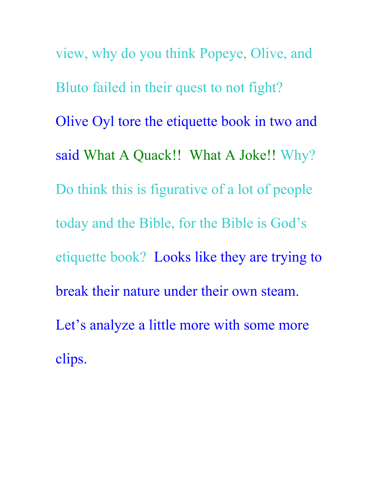view, why do you think Popeye, Olive, and Bluto failed in their quest to not fight? Olive Oyl tore the etiquette book in two and said What A Quack!! What A Joke!! Why? Do think this is figurative of a lot of people today and the Bible, for the Bible is God's etiquette book? Looks like they are trying to break their nature under their own steam. Let's analyze a little more with some more clips.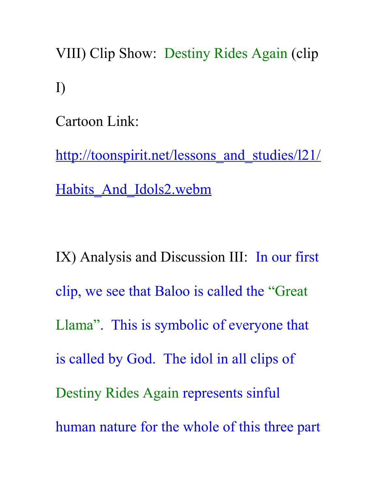VIII) Clip Show: Destiny Rides Again (clip I)

Cartoon Link:

http://toonspirit.net/lessons and studies/121/ Habits And Idols2.webm

IX) Analysis and Discussion III: In our first clip, we see that Baloo is called the "Great Llama". This is symbolic of everyone that is called by God. The idol in all clips of Destiny Rides Again represents sinful human nature for the whole of this three part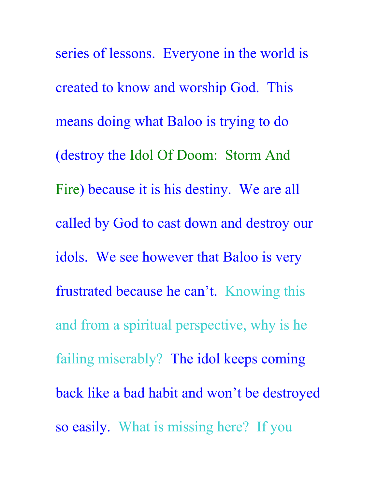series of lessons. Everyone in the world is created to know and worship God. This means doing what Baloo is trying to do (destroy the Idol Of Doom: Storm And Fire) because it is his destiny. We are all called by God to cast down and destroy our idols. We see however that Baloo is very frustrated because he can't. Knowing this and from a spiritual perspective, why is he failing miserably? The idol keeps coming back like a bad habit and won't be destroyed so easily. What is missing here? If you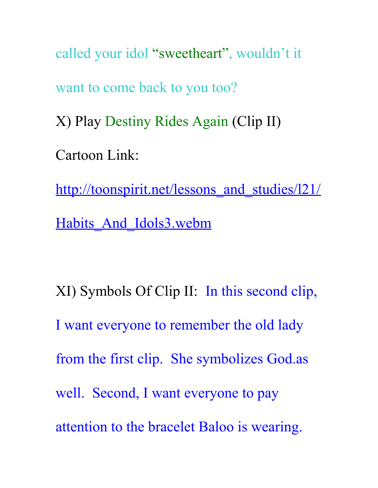called your idol "sweetheart", wouldn't it want to come back to you too? X) Play Destiny Rides Again (Clip II) Cartoon Link: http://toonspirit.net/lessons and studies/121/ Habits And Idols3.webm

XI) Symbols Of Clip II: In this second clip, I want everyone to remember the old lady from the first clip. She symbolizes God.as well. Second, I want everyone to pay attention to the bracelet Baloo is wearing.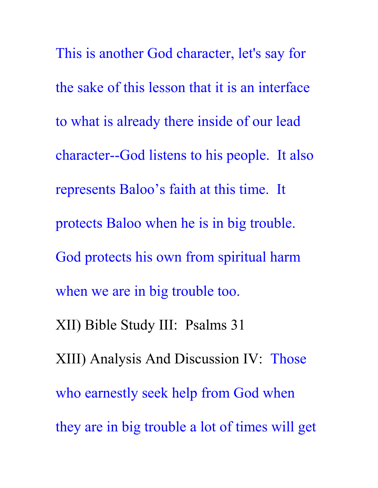This is another God character, let's say for the sake of this lesson that it is an interface to what is already there inside of our lead character--God listens to his people. It also represents Baloo's faith at this time. It protects Baloo when he is in big trouble. God protects his own from spiritual harm when we are in big trouble too. XII) Bible Study III: Psalms 31 XIII) Analysis And Discussion IV: Those who earnestly seek help from God when they are in big trouble a lot of times will get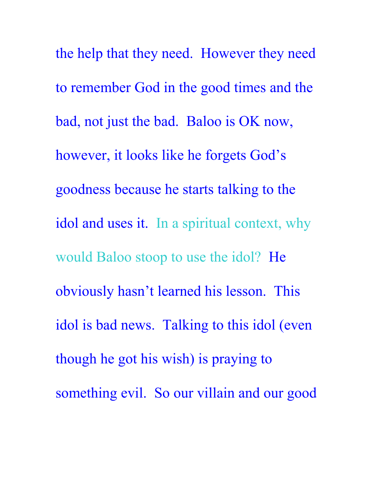the help that they need. However they need to remember God in the good times and the bad, not just the bad. Baloo is OK now, however, it looks like he forgets God's goodness because he starts talking to the idol and uses it. In a spiritual context, why would Baloo stoop to use the idol? He obviously hasn't learned his lesson. This idol is bad news. Talking to this idol (even though he got his wish) is praying to something evil. So our villain and our good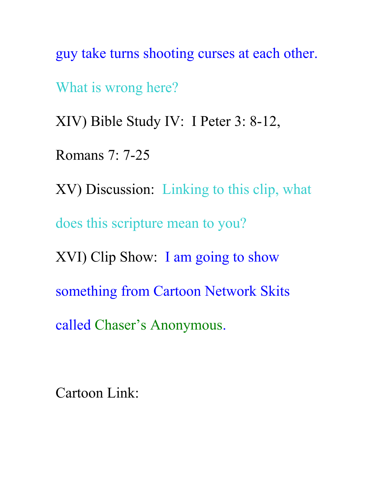guy take turns shooting curses at each other.

What is wrong here?

XIV) Bible Study IV: I Peter 3: 8-12,

Romans 7: 7-25

XV) Discussion: Linking to this clip, what does this scripture mean to you? XVI) Clip Show: I am going to show something from Cartoon Network Skits

called Chaser's Anonymous.

Cartoon Link: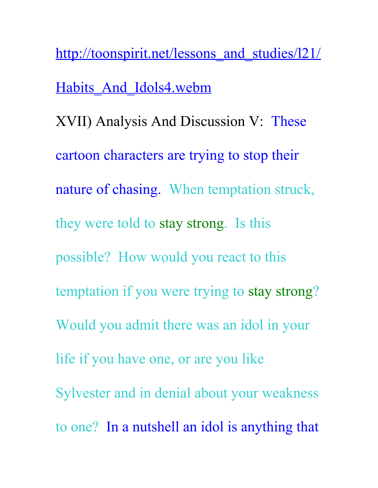http://toonspirit.net/lessons and studies/121/ Habits And Idols4.webm XVII) Analysis And Discussion V: These cartoon characters are trying to stop their nature of chasing. When temptation struck, they were told to stay strong. Is this possible? How would you react to this temptation if you were trying to stay strong? Would you admit there was an idol in your life if you have one, or are you like Sylvester and in denial about your weakness to one? In a nutshell an idol is anything that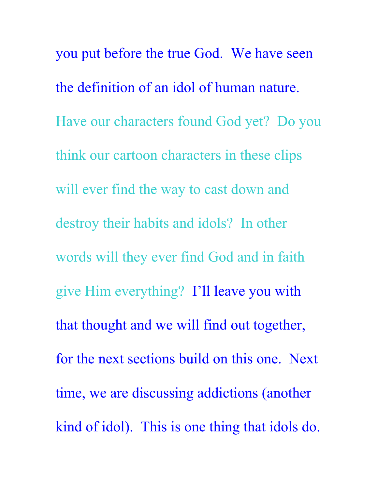you put before the true God. We have seen the definition of an idol of human nature. Have our characters found God yet? Do you think our cartoon characters in these clips will ever find the way to cast down and destroy their habits and idols? In other words will they ever find God and in faith give Him everything? I'll leave you with that thought and we will find out together, for the next sections build on this one. Next time, we are discussing addictions (another kind of idol). This is one thing that idols do.